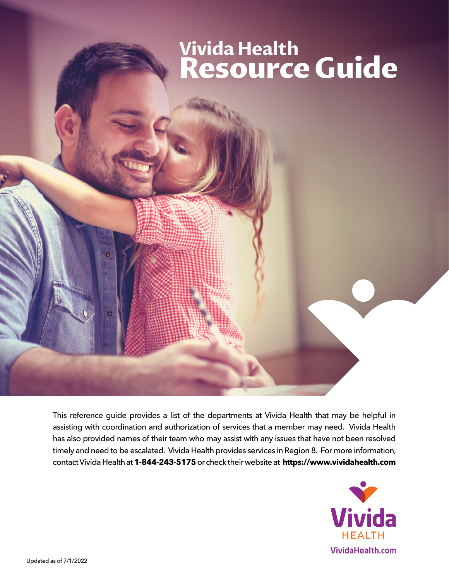# **Resource Guide Vivida Health Resource Guide**

This reference guide provides a list of the departments at Vivida Health that may be helpful in assisting with coordination and authorization of services that a member may need. Vivida Health has also provided names of their team who may assist with any issues that have not been resolved timely and need to be escalated. Vivida Health provides services in Region 8. For more information, contact Vivida Health at **1-844-243-5175** or check their website at **[https://www.vividahealth.com](http://www.vividahealth.com)**



**Vivida Health**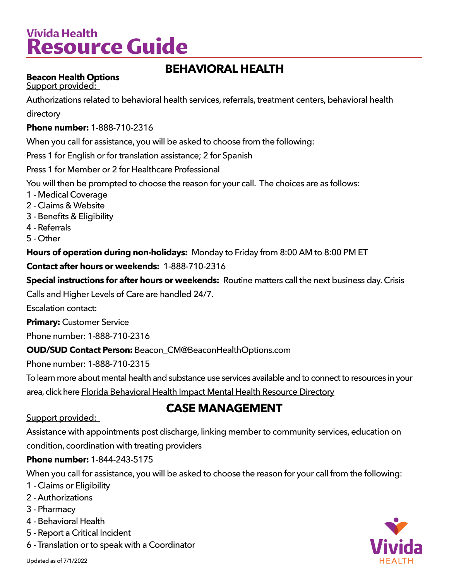# **Vivida Health Resource Guide**

# **BEHAVIORAL HEALTH**

### **Beacon Health Options**

Support provided:

Authorizations related to behavioral health services, referrals, treatment centers, behavioral health directory

#### **Phone number:** 1-888-710-2316

When you call for assistance, you will be asked to choose from the following:

Press 1 for English or for translation assistance; 2 for Spanish

Press 1 for Member or 2 for Healthcare Professional

You will then be prompted to choose the reason for your call. The choices are as follows:

- 1 Medical Coverage
- 2 Claims & Website
- 3 Benefits & Eligibility
- 4 Referrals
- 5 Other

**Hours of operation during non-holidays:** Monday to Friday from 8:00 AM to 8:00 PM ET

#### **Contact after hours or weekends:** 1-888-710-2316

**Special instructions for after hours or weekends:** Routine matters call the next business day. Crisis

Calls and Higher Levels of Care are handled 24/7.

Escalation contact:

**Primary:** Customer Service

Phone number: 1-888-710-2316

#### **OUD/SUD Contact Person:** Beacon\_CM@BeaconHealthOptions.com

Phone number: 1-888-710-2315

To learn more about mental health and substance use services available and to connect to resources in your

[a](https://flmomsmhresources.org/)rea, click here [Florida Behavioral Health Impact Mental Health Resource Directory](https://flmomsmhresources.org/)

## **[CASE MANAGEMENT](https://flmomsmhresources.org/)**

#### Support provided:

[Assistance with appointments post discharge, linking member to community services, education on](https://flmomsmhresources.org/)  [condition, coordination with treating providers](https://flmomsmhresources.org/)

#### **Phone number:** [1-844-243-5175](https://flmomsmhresources.org/)

[When you call for assistance, you will be asked to choose the reason for your call from the following:](https://flmomsmhresources.org/)

- [1 Claims or Eligibility](https://flmomsmhresources.org/)
- [2 Authorizations](https://flmomsmhresources.org/)
- [3 Pharmacy](https://flmomsmhresources.org/)
- [4 Behavioral Health](https://flmomsmhresources.org/)
- [5 Report a Critical Incident](https://flmomsmhresources.org/)
- [6 Translation or to speak with a Coordinator](https://flmomsmhresources.org/)



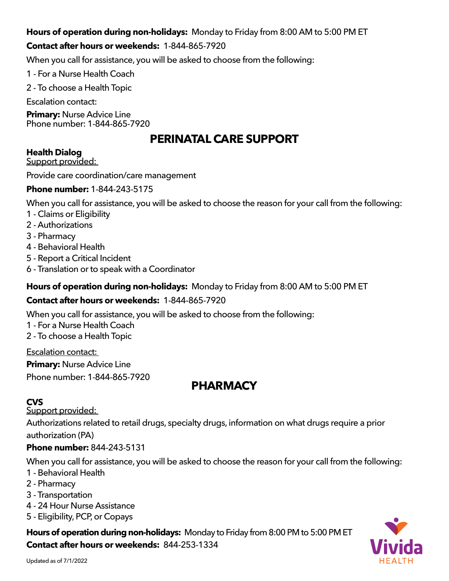### **Hours of operation during non-holidays:** [Monday to Friday from 8:00 AM to 5:00 PM ET](https://flmomsmhresources.org/)

### **[Contact after hours or weekends:](https://flmomsmhresources.org/)** 1-844-865-7920

[When you call for assistance, you will be asked to choose from the following:](https://flmomsmhresources.org/)

- [1 For a Nurse Health Coach](https://flmomsmhresources.org/)
- [2 To choose a Health Topic](https://flmomsmhresources.org/)

[Escalation contact:](https://flmomsmhresources.org/) 

**Primary:** [Nurse Advice Line](https://flmomsmhresources.org/) [Phone number: 1-844-865-7920](https://flmomsmhresources.org/)

## **PERINATAL CARE SUPPORT**

#### **Health Dialog**

Support provided:

Provide care coordination/care management

#### **Phone number:** 1-844-243-5175

When you call for assistance, you will be asked to choose the reason for your call from the following:

- 1 Claims or Eligibility
- 2 Authorizations
- 3 Pharmacy
- 4 Behavioral Health
- 5 Report a Critical Incident
- 6 Translation or to speak with a Coordinator

#### **Hours of operation during non-holidays:** Monday to Friday from 8:00 AM to 5:00 PM ET

#### **Contact after hours or weekends:** 1-844-865-7920

When you call for assistance, you will be asked to choose from the following:

- 1 For a Nurse Health Coach
- 2 To choose a Health Topic

Escalation contact:

**Primary:** Nurse Advice Line Phone number: 1-844-865-7920

### **PHARMACY**

### **CVS**

Support provided:

Authorizations related to retail drugs, specialty drugs, information on what drugs require a prior

authorization (PA)

#### **Phone number:** 844-243-5131

When you call for assistance, you will be asked to choose the reason for your call from the following:

- 1 Behavioral Health
- 2 Pharmacy
- 3 Transportation
- 4 24 Hour Nurse Assistance
- 5 Eligibility, PCP, or Copays

#### **Hours of operation during non-holidays:** Monday to Friday from 8:00 PM to 5:00 PM ET **Contact after hours or weekends:** 844-253-1334

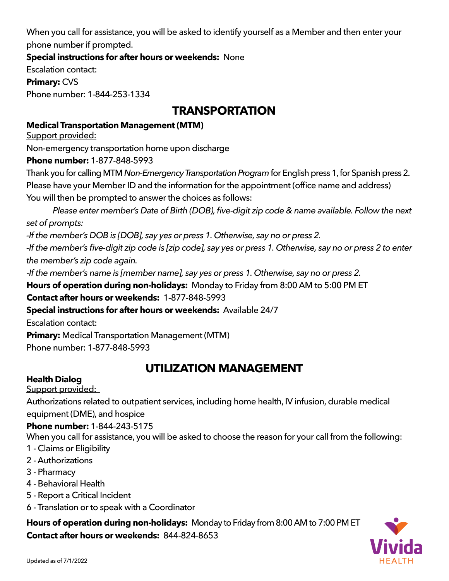When you call for assistance, you will be asked to identify yourself as a Member and then enter your phone number if prompted.

**Special instructions for after hours or weekends:** None

Escalation contact: **Primary:** CVS

Phone number: 1-844-253-1334

# **TRANSPORTATION**

#### **Medical Transportation Management (MTM)**

Support provided:

Non-emergency transportation home upon discharge

**Phone number:** 1-877-848-5993

Thank you for calling MTM *Non-Emergency Transportation Program* for English press 1, for Spanish press 2. Please have your Member ID and the information for the appointment (office name and address) You will then be prompted to answer the choices as follows:

 *Please enter member's Date of Birth (DOB), five-digit zip code & name available. Follow the next set of prompts:*

*-If the member's DOB is [DOB], say yes or press 1. Otherwise, say no or press 2.*

-If the member's five-digit zip code is [zip code], say yes or press 1. Otherwise, say no or press 2 to enter *the member's zip code again.*

*-If the member's name is [member name], say yes or press 1. Otherwise, say no or press 2.*

**Hours of operation during non-holidays:** Monday to Friday from 8:00 AM to 5:00 PM ET

**Contact after hours or weekends:** 1-877-848-5993

**Special instructions for after hours or weekends:** Available 24/7

Escalation contact:

**Primary:** Medical Transportation Management (MTM) Phone number: 1-877-848-5993

# **UTILIZATION MANAGEMENT**

### **Health Dialog**

Support provided:

Authorizations related to outpatient services, including home health, IV infusion, durable medical equipment (DME), and hospice

#### **Phone number:** 1-844-243-5175

When you call for assistance, you will be asked to choose the reason for your call from the following:

- 1 Claims or Eligibility
- 2 Authorizations
- 3 Pharmacy
- 4 Behavioral Health
- 5 Report a Critical Incident
- 6 Translation or to speak with a Coordinator

**Hours of operation during non-holidays:** Monday to Friday from 8:00 AM to 7:00 PM ET **Contact after hours or weekends:** 844-824-8653

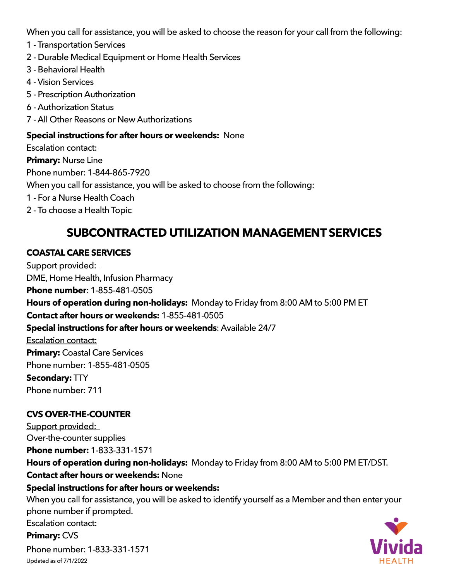When you call for assistance, you will be asked to choose the reason for your call from the following:

- 1 Transportation Services
- 2 Durable Medical Equipment or Home Health Services
- 3 Behavioral Health
- 4 Vision Services
- 5 Prescription Authorization
- 6 Authorization Status
- 7 All Other Reasons or New Authorizations

#### **Special instructions for after hours or weekends:** None

Escalation contact:

**Primary:** Nurse Line

Phone number: 1-844-865-7920

When you call for assistance, you will be asked to choose from the following:

- 1 For a Nurse Health Coach
- 2 To choose a Health Topic

# **SUBCONTRACTED UTILIZATION MANAGEMENT SERVICES**

### **COASTAL CARE SERVICES**

Support provided: DME, Home Health, Infusion Pharmacy **Phone number**: 1-855-481-0505 **Hours of operation during non-holidays:** Monday to Friday from 8:00 AM to 5:00 PM ET **Contact after hours or weekends:** 1-855-481-0505 **Special instructions for after hours or weekends**: Available 24/7 Escalation contact: **Primary:** Coastal Care Services Phone number: 1-855-481-0505 **Secondary:** TTY Phone number: 711

### **CVS OVER-THE-COUNTER**

Support provided: Over-the-counter supplies **Phone number:** 1-833-331-1571 **Hours of operation during non-holidays:** Monday to Friday from 8:00 AM to 5:00 PM ET/DST. **Contact after hours or weekends:** None

#### **Special instructions for after hours or weekends:**

When you call for assistance, you will be asked to identify yourself as a Member and then enter your phone number if prompted.

Escalation contact:

**Primary:** CVS

Updated as of 7/1/2022 Phone number: 1-833-331-1571